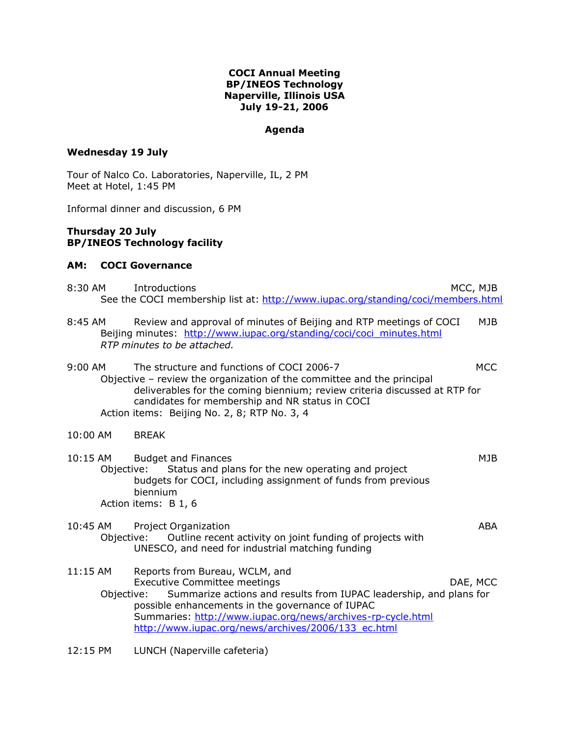# **COCI Annual Meeting BP/INEOS Technology Naperville, Illinois USA July 19-21, 2006**

# **Agenda**

# **Wednesday 19 July**

Tour of Nalco Co. Laboratories, Naperville, IL, 2 PM Meet at Hotel, 1:45 PM

Informal dinner and discussion, 6 PM

# **Thursday 20 July BP/INEOS Technology facility**

# **AM: COCI Governance**

| 8:30 AM | Introductions | MCC, MJB                                                                         |
|---------|---------------|----------------------------------------------------------------------------------|
|         |               | See the COCI membership list at: http://www.iupac.org/standing/coci/members.html |

8:45 AM Review and approval of minutes of Beijing and RTP meetings of COCI MJB Beijing minutes: http://www.iupac.org/standing/coci/coci\_minutes.html *RTP minutes to be attached.*

9:00 AM The structure and functions of COCI 2006-7 MCC Objective – review the organization of the committee and the principal deliverables for the coming biennium; review criteria discussed at RTP for candidates for membership and NR status in COCI Action items: Beijing No. 2, 8; RTP No. 3, 4

#### 10:00 AM BREAK

| $10:15$ AM                                                                            | <b>Budget and Finances</b>                                      | M J B |
|---------------------------------------------------------------------------------------|-----------------------------------------------------------------|-------|
|                                                                                       | Objective: Status and plans for the new operating and project   |       |
|                                                                                       | budgets for COCI, including assignment of funds from previous   |       |
|                                                                                       | biennium                                                        |       |
|                                                                                       | Action items: B 1, 6                                            |       |
| $\begin{array}{c} \n\text{A} \cap \text{A} \cap \text{A} \cap \text{A} \n\end{array}$ | $\mathbf{R}$ . The set of $\mathbf{R}$ is a set of $\mathbf{R}$ | .     |

# 10:45 AM Project Organization **ABA** ABA Objective: Outline recent activity on joint funding of projects with UNESCO, and need for industrial matching funding

11:15 AM Reports from Bureau, WCLM, and Executive Committee meetings The Committee of the Committee of the Committee of the Committee of the Committee Objective: Summarize actions and results from IUPAC leadership, and plans for possible enhancements in the governance of IUPAC Summaries: http://www.iupac.org/news/archives-rp-cycle.html http://www.iupac.org/news/archives/2006/133\_ec.html

12:15 PM LUNCH (Naperville cafeteria)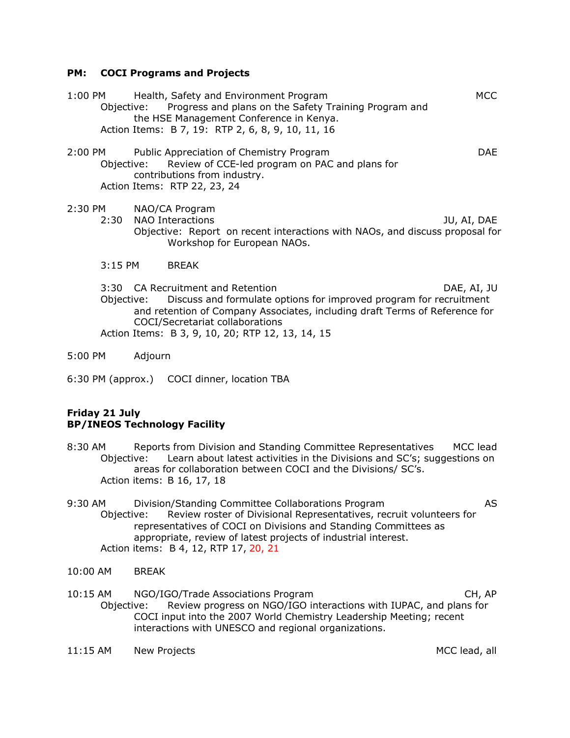# **PM: COCI Programs and Projects**

1:00 PM Health, Safety and Environment Program MCC Objective: Progress and plans on the Safety Training Program and the HSE Management Conference in Kenya. Action Items: B 7, 19: RTP 2, 6, 8, 9, 10, 11, 16

2:00 PM Public Appreciation of Chemistry Program DAE Objective: Review of CCE-led program on PAC and plans for contributions from industry. Action Items: RTP 22, 23, 24

2:30 PM NAO/CA Program

2:30 NAO Interactions JU, AI, DAE Objective: Report on recent interactions with NAOs, and discuss proposal for Workshop for European NAOs.

3:15 PM BREAK

3:30 CA Recruitment and Retention DAE, AI, JU Objective: Discuss and formulate options for improved program for recruitment and retention of Company Associates, including draft Terms of Reference for COCI/Secretariat collaborations Action Items: B 3, 9, 10, 20; RTP 12, 13, 14, 15

- 5:00 PM Adjourn
- 6:30 PM (approx.) COCI dinner, location TBA

# **Friday 21 July BP/INEOS Technology Facility**

- 8:30 AM Reports from Division and Standing Committee Representatives MCC lead Objective: Learn about latest activities in the Divisions and SC's; suggestions on areas for collaboration between COCI and the Divisions/ SC's. Action items: B 16, 17, 18
- 9:30 AM Division/Standing Committee Collaborations Program AS Objective: Review roster of Divisional Representatives, recruit volunteers for representatives of COCI on Divisions and Standing Committees as appropriate, review of latest projects of industrial interest. Action items: B 4, 12, RTP 17, 20, 21
- 10:00 AM BREAK
- 10:15 AM NGO/IGO/Trade Associations Program CH, AP Objective: Review progress on NGO/IGO interactions with IUPAC, and plans for COCI input into the 2007 World Chemistry Leadership Meeting; recent interactions with UNESCO and regional organizations.
- 11:15 AM New Projects **MCC lead, all**